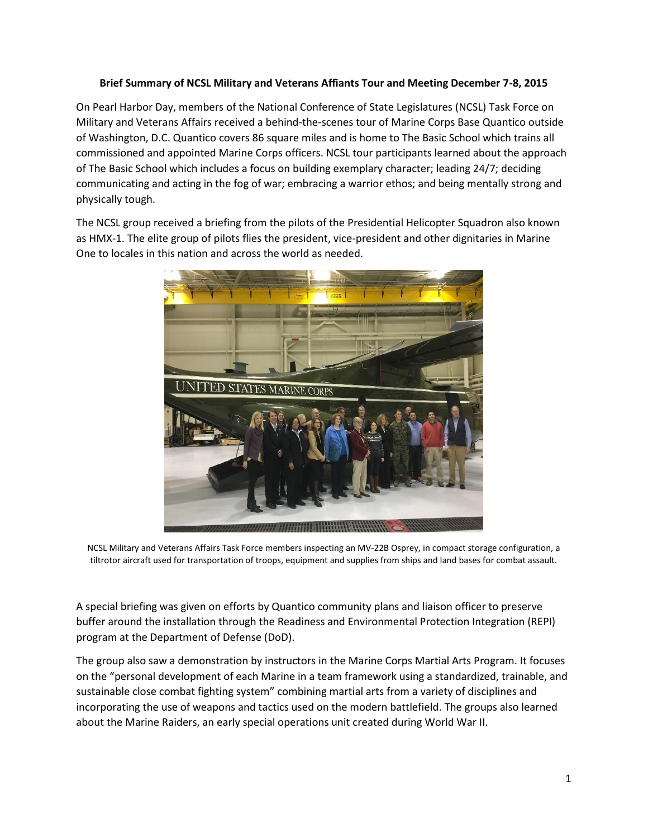## **Brief Summary of NCSL Military and Veterans Affiants Tour and Meeting December 7-8, 2015**

On Pearl Harbor Day, members of the National Conference of State Legislatures (NCSL) Task Force on Military and Veterans Affairs received a behind-the-scenes tour of Marine Corps Base Quantico outside of Washington, D.C. Quantico covers 86 square miles and is home to The Basic School which trains all commissioned and appointed Marine Corps officers. NCSL tour participants learned about the approach of The Basic School which includes a focus on building exemplary character; leading 24/7; deciding communicating and acting in the fog of war; embracing a warrior ethos; and being mentally strong and physically tough.

The NCSL group received a briefing from the pilots of the Presidential Helicopter Squadron also known as HMX-1. The elite group of pilots flies the president, vice-president and other dignitaries in Marine One to locales in this nation and across the world as needed.



NCSL Military and Veterans Affairs Task Force members inspecting an MV-22B Osprey, in compact storage configuration, a tiltrotor aircraft used for transportation of troops, equipment and supplies from ships and land bases for combat assault.

A special briefing was given on efforts by Quantico community plans and liaison officer to preserve buffer around the installation through the Readiness and Environmental Protection Integration (REPI) program at the Department of Defense (DoD).

The group also saw a demonstration by instructors in the Marine Corps Martial Arts Program. It focuses on the "personal development of each Marine in a team framework using a standardized, trainable, and sustainable close combat fighting system" combining martial arts from a variety of disciplines and incorporating the use of weapons and tactics used on the modern battlefield. The groups also learned about the Marine Raiders, an early special operations unit created during World War II.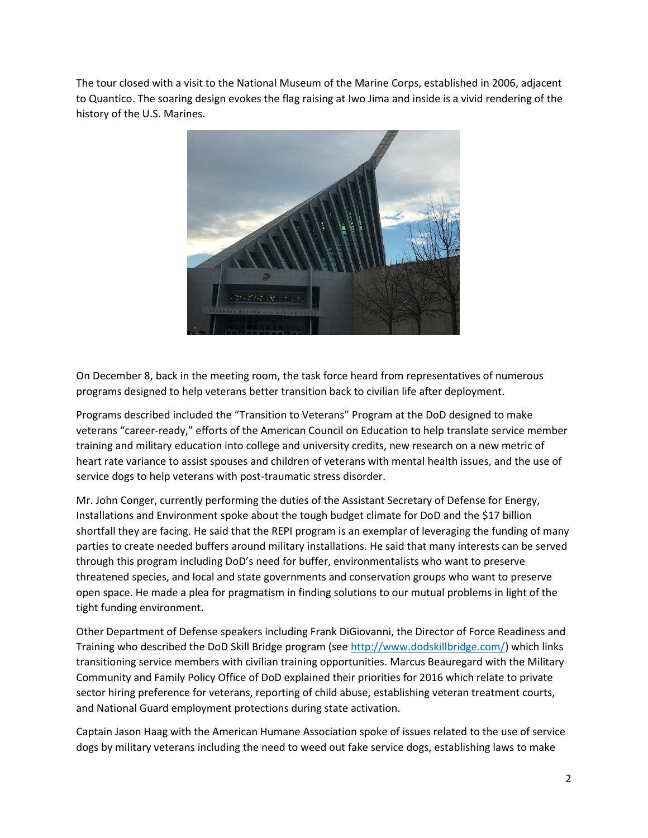The tour closed with a visit to the National Museum of the Marine Corps, established in 2006, adjacent to Quantico. The soaring design evokes the flag raising at Iwo Jima and inside is a vivid rendering of the history of the U.S. Marines.



On December 8, back in the meeting room, the task force heard from representatives of numerous programs designed to help veterans better transition back to civilian life after deployment.

Programs described included the "Transition to Veterans" Program at the DoD designed to make veterans "career-ready," efforts of the American Council on Education to help translate service member training and military education into college and university credits, new research on a new metric of heart rate variance to assist spouses and children of veterans with mental health issues, and the use of service dogs to help veterans with post-traumatic stress disorder.

Mr. John Conger, currently performing the duties of the Assistant Secretary of Defense for Energy, Installations and Environment spoke about the tough budget climate for DoD and the \$17 billion shortfall they are facing. He said that the REPI program is an exemplar of leveraging the funding of many parties to create needed buffers around military installations. He said that many interests can be served through this program including DoD's need for buffer, environmentalists who want to preserve threatened species, and local and state governments and conservation groups who want to preserve open space. He made a plea for pragmatism in finding solutions to our mutual problems in light of the tight funding environment.

Other Department of Defense speakers including Frank DiGiovanni, the Director of Force Readiness and Training who described the DoD Skill Bridge program (see [http://www.dodskillbridge.com/\)](http://www.dodskillbridge.com/) which links transitioning service members with civilian training opportunities. Marcus Beauregard with the Military Community and Family Policy Office of DoD explained their priorities for 2016 which relate to private sector hiring preference for veterans, reporting of child abuse, establishing veteran treatment courts, and National Guard employment protections during state activation.

Captain Jason Haag with the American Humane Association spoke of issues related to the use of service dogs by military veterans including the need to weed out fake service dogs, establishing laws to make